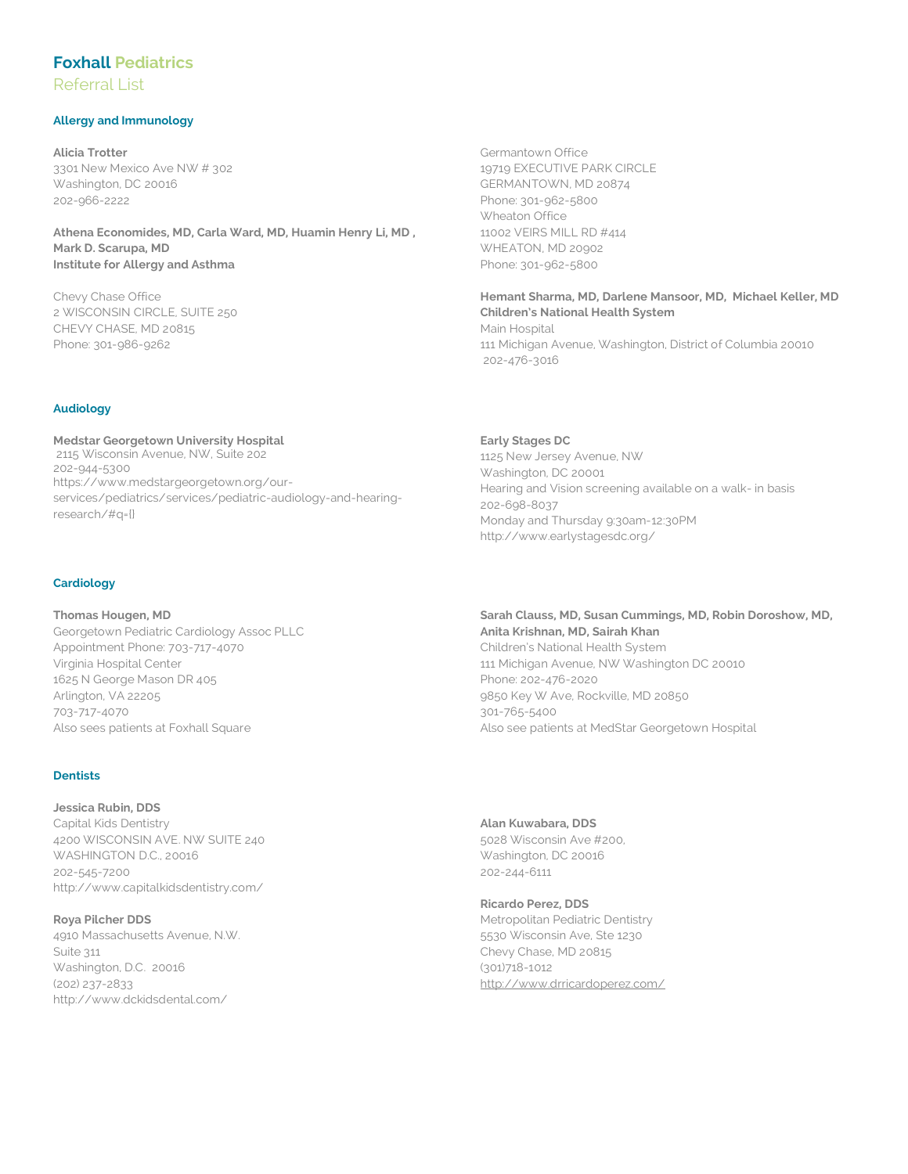# **Foxhall Pediatrics**

Referral List

## **Allergy and Immunology**

**Alicia Trotter** 3301 New Mexico Ave NW # 302 Washington, DC 20016 202-966-2222

**Athena Economides, MD, Carla Ward, MD, Huamin Henry Li, MD , Mark D. Scarupa, MD Institute for Allergy and Asthma**

Chevy Chase Office 2 WISCONSIN CIRCLE, SUITE 250 CHEVY CHASE, MD 20815 Phone: 301-986-9262

## **Audiology**

**Medstar Georgetown University Hospital** 2115 Wisconsin Avenue, NW, Suite 202 202-944-5300 https://www.medstargeorgetown.org/ourservices/pediatrics/services/pediatric-audiology-and-hearingresearch/#q={}

## **Cardiology**

**Thomas Hougen, MD** Georgetown Pediatric Cardiology Assoc PLLC Appointment Phone: 703-717-4070 Virginia Hospital Center 1625 N George Mason DR 405 Arlington, VA 22205 703-717-4070 Also sees patients at Foxhall Square

## **Dentists**

**Jessica Rubin, DDS** Capital Kids Dentistry 4200 WISCONSIN AVE. NW SUITE 240 WASHINGTON D.C., 20016 202-545-7200 http://www.capitalkidsdentistry.com/

**Roya Pilcher DDS** 4910 Massachusetts Avenue, N.W. Suite 311 Washington, D.C. 20016 (202) 237-2833 http://www.dckidsdental.com/

Germantown Office 19719 EXECUTIVE PARK CIRCLE GERMANTOWN, MD 20874 Phone: 301-962-5800 Wheaton Office 11002 VEIRS MILL RD #414 WHEATON, MD 20902 Phone: 301-962-5800

**Hemant Sharma, MD, Darlene Mansoor, MD, Michael Keller, MD Children's National Health System** Main Hospital 111 Michigan Avenue, Washington, District of Columbia 20010 202-476-3016

**Early Stages DC** 1125 New Jersey Avenue, NW Washington, DC 20001 Hearing and Vision screening available on a walk- in basis 202-698-8037 Monday and Thursday 9:30am-12:30PM http://www.earlystagesdc.org/

**Sarah Clauss, MD, Susan Cummings, MD, Robin Doroshow, MD, Anita Krishnan, MD, Sairah Khan**  Children's National Health System 111 Michigan Avenue, NW Washington DC 20010 Phone: 202-476-2020 9850 Key W Ave, Rockville, MD 20850 301-765-5400 Also see patients at MedStar Georgetown Hospital

**Alan Kuwabara, DDS** 5028 Wisconsin Ave #200, Washington, DC 20016 202-244-6111

**Ricardo Perez, DDS** Metropolitan Pediatric Dentistry 5530 Wisconsin Ave, Ste 1230 Chevy Chase, MD 20815 (301)718-1012 http://www.drricardoperez.com/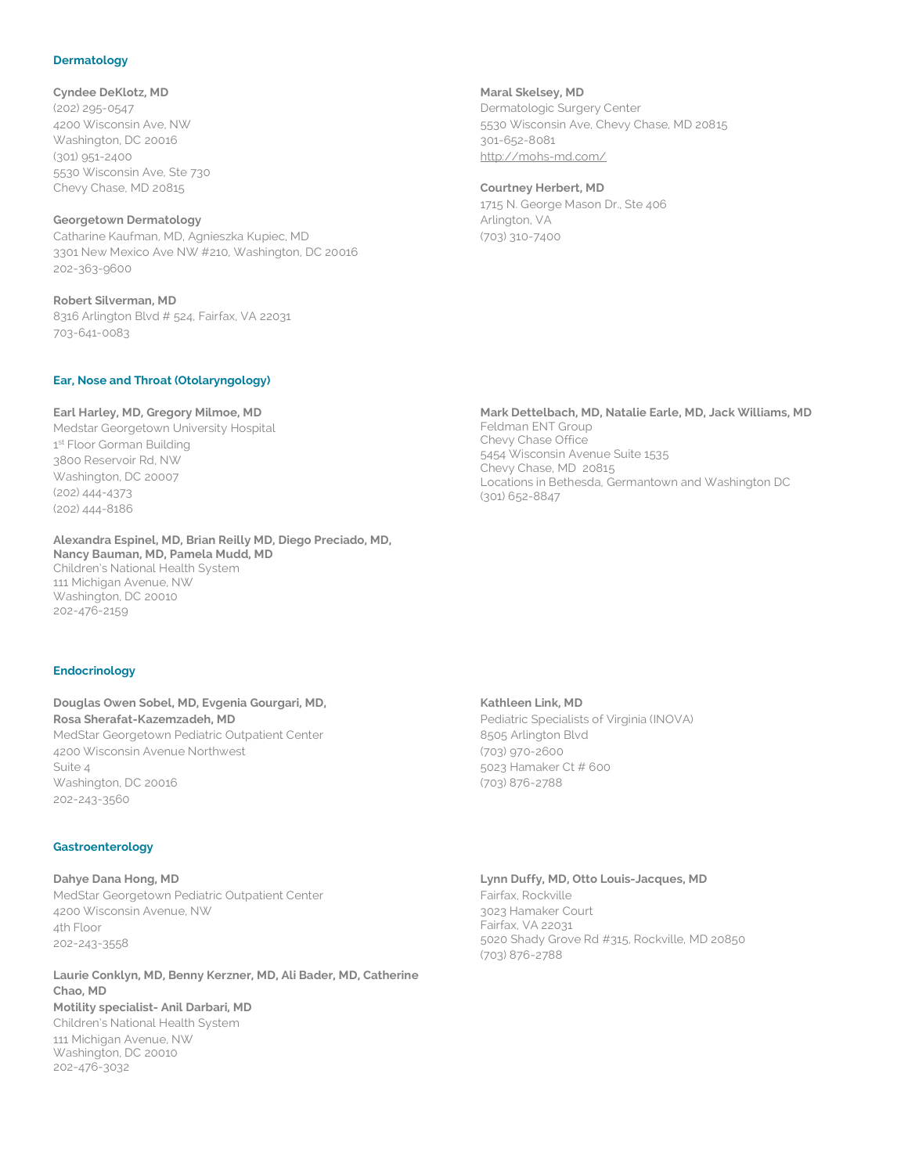#### **Dermatology**

**Cyndee DeKlotz, MD** (202) 295-0547 4200 Wisconsin Ave, NW Washington, DC 20016 (301) 951-2400 5530 Wisconsin Ave, Ste 730

### **Georgetown Dermatology**

Chevy Chase, MD 20815

Catharine Kaufman, MD, Agnieszka Kupiec, MD 3301 New Mexico Ave NW #210, Washington, DC 20016 202-363-9600

**Robert Silverman, MD**  8316 Arlington Blvd # 524, Fairfax, VA 22031 703-641-0083

#### **Ear, Nose and Throat (Otolaryngology)**

#### **Earl Harley, MD, Gregory Milmoe, MD**

Medstar Georgetown University Hospital 1st Floor Gorman Building 3800 Reservoir Rd, NW Washington, DC 20007 (202) 444-4373 (202) 444-8186

## **Alexandra Espinel, MD, Brian Reilly MD, Diego Preciado, MD,**

**Nancy Bauman, MD, Pamela Mudd, MD** Children's National Health System 111 Michigan Avenue, NW Washington, DC 20010 202-476-2159

#### **Endocrinology**

## **Douglas Owen Sobel, MD, Evgenia Gourgari, MD, Rosa Sherafat-Kazemzadeh, MD** MedStar Georgetown Pediatric Outpatient Center 4200 Wisconsin Avenue Northwest Suite 4 Washington, DC 20016 202-243-3560

#### **Gastroenterology**

**Dahye Dana Hong, MD** MedStar Georgetown Pediatric Outpatient Center 4200 Wisconsin Avenue, NW 4th Floor 202-243-3558

**Laurie Conklyn, MD, Benny Kerzner, MD, Ali Bader, MD, Catherine Chao, MD**

#### **Motility specialist- Anil Darbari, MD** Children's National Health System

111 Michigan Avenue, NW Washington, DC 20010 202-476-3032

**Maral Skelsey, MD** Dermatologic Surgery Center 5530 Wisconsin Ave, Chevy Chase, MD 20815 301-652-8081 http://mohs-md.com/

#### **Courtney Herbert, MD**

1715 N. George Mason Dr., Ste 406 Arlington, VA (703) 310-7400

## **Mark Dettelbach, MD, Natalie Earle, MD, Jack Williams, MD**

Feldman ENT Group Chevy Chase Office 5454 Wisconsin Avenue Suite 1535 Chevy Chase, MD 20815 Locations in Bethesda, Germantown and Washington DC (301) 652-8847

#### **Kathleen Link, MD**

Pediatric Specialists of Virginia (INOVA) 8505 Arlington Blvd (703) 970-2600 5023 Hamaker Ct # 600 (703) 876-2788

#### **Lynn Duffy, MD, Otto Louis-Jacques, MD**

Fairfax, Rockville 3023 Hamaker Court Fairfax, VA 22031 5020 Shady Grove Rd #315, Rockville, MD 20850 (703) 876-2788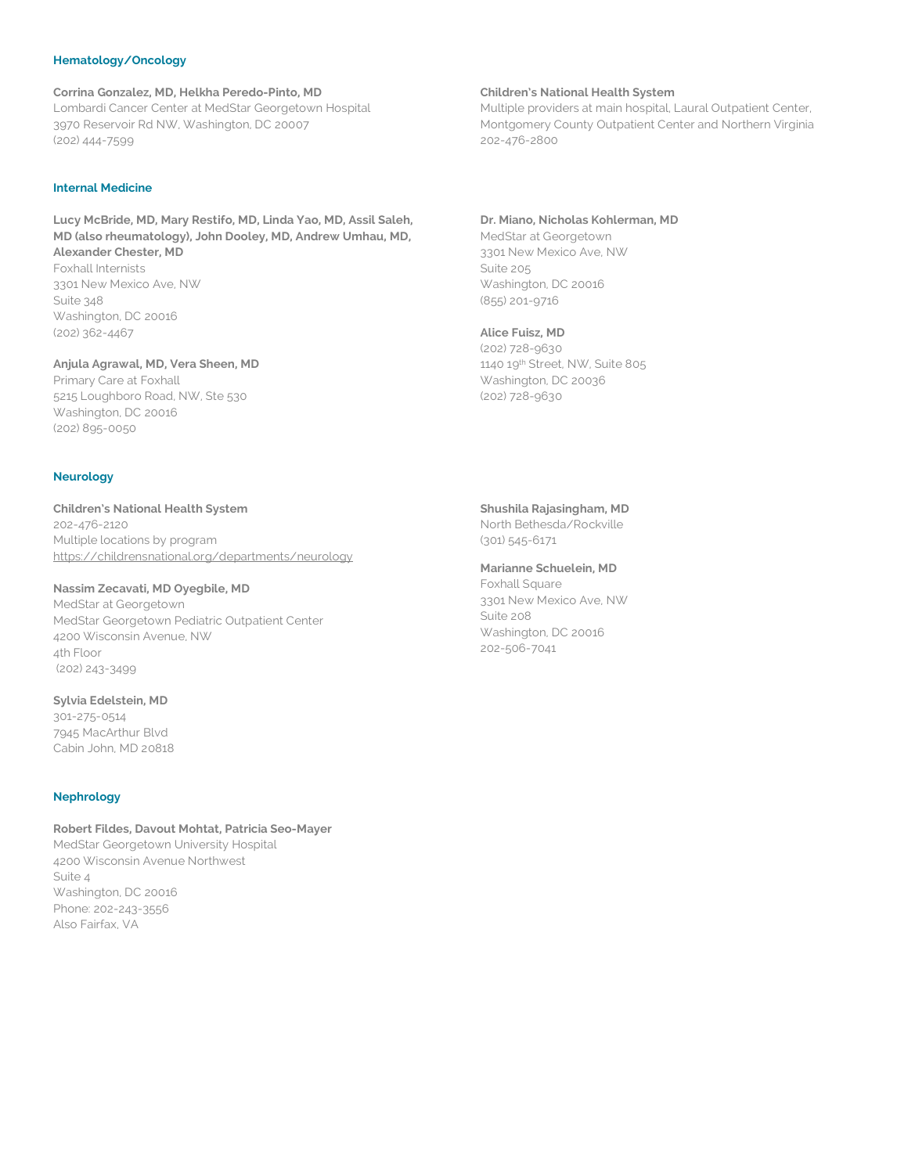## **Hematology/Oncology**

**Corrina Gonzalez, MD, Helkha Peredo-Pinto, MD** Lombardi Cancer Center at MedStar Georgetown Hospital 3970 Reservoir Rd NW, Washington, DC 20007 (202) 444-7599

### **Internal Medicine**

## **Lucy McBride, MD, Mary Restifo, MD, Linda Yao, MD, Assil Saleh, MD (also rheumatology), John Dooley, MD, Andrew Umhau, MD, Alexander Chester, MD**

Foxhall Internists 3301 New Mexico Ave, NW Suite 348 Washington, DC 20016 (202) 362-4467

#### **Anjula Agrawal, MD, Vera Sheen, MD**

Primary Care at Foxhall 5215 Loughboro Road, NW, Ste 530 Washington, DC 20016 (202) 895-0050

#### **Neurology**

**Children's National Health System** 202-476-2120 Multiple locations by program https://childrensnational.org/departments/neurology

## **Nassim Zecavati, MD Oyegbile, MD**

MedStar at Georgetown MedStar Georgetown Pediatric Outpatient Center 4200 Wisconsin Avenue, NW 4th Floor (202) 243-3499

### **Sylvia Edelstein, MD**

301-275-0514 7945 MacArthur Blvd Cabin John, MD 20818

#### **Nephrology**

**Robert Fildes, Davout Mohtat, Patricia Seo-Mayer** MedStar Georgetown University Hospital 4200 Wisconsin Avenue Northwest Suite 4 Washington, DC 20016 Phone: 202-243-3556 Also Fairfax, VA

#### **Children's National Health System**

Multiple providers at main hospital, Laural Outpatient Center, Montgomery County Outpatient Center and Northern Virginia 202-476-2800

#### **Dr. Miano, Nicholas Kohlerman, MD**

MedStar at Georgetown 3301 New Mexico Ave, NW Suite 205 Washington, DC 20016 (855) 201-9716

#### **Alice Fuisz, MD**

(202) 728-9630 1140 19th Street, NW, Suite 805 Washington, DC 20036 (202) 728-9630

#### **Shushila Rajasingham, MD**

North Bethesda/Rockville (301) 545-6171

### **Marianne Schuelein, MD**

Foxhall Square 3301 New Mexico Ave, NW Suite 208 Washington, DC 20016 202-506-7041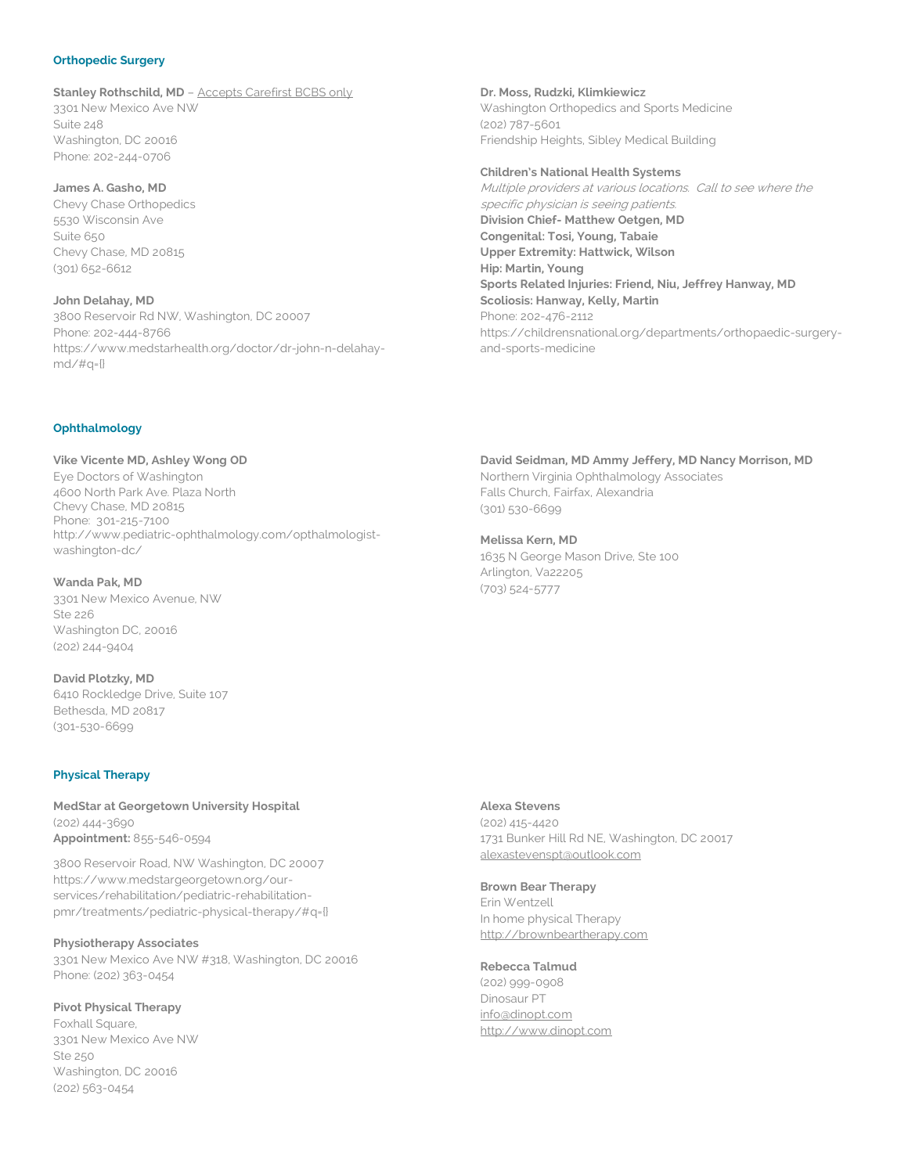#### **Orthopedic Surgery**

**Stanley Rothschild, MD** - Accepts Carefirst BCBS only

3301 New Mexico Ave NW Suite 248 Washington, DC 20016 Phone: 202-244-0706

### **James A. Gasho, MD**

Chevy Chase Orthopedics 5530 Wisconsin Ave Suite 650 Chevy Chase, MD 20815 (301) 652-6612

**John Delahay, MD** 3800 Reservoir Rd NW, Washington, DC 20007 Phone: 202-444-8766 https://www.medstarhealth.org/doctor/dr-john-n-delahaymd/#q={}

**Dr. Moss, Rudzki, Klimkiewicz** Washington Orthopedics and Sports Medicine (202) 787-5601 Friendship Heights, Sibley Medical Building

**Children's National Health Systems** Multiple providers at various locations. Call to see where the specific physician is seeing patients. **Division Chief- Matthew Oetgen, MD Congenital: Tosi, Young, Tabaie Upper Extremity: Hattwick, Wilson Hip: Martin, Young Sports Related Injuries: Friend, Niu, Jeffrey Hanway, MD Scoliosis: Hanway, Kelly, Martin** Phone: 202-476-2112 https://childrensnational.org/departments/orthopaedic-surgeryand-sports-medicine

#### **Ophthalmology**

**Vike Vicente MD, Ashley Wong OD** Eye Doctors of Washington 4600 North Park Ave. Plaza North Chevy Chase, MD 20815 Phone: 301-215-7100 http://www.pediatric-ophthalmology.com/opthalmologistwashington-dc/

**Wanda Pak, MD** 3301 New Mexico Avenue, NW Ste 226 Washington DC, 20016 (202) 244-9404

**David Plotzky, MD** 6410 Rockledge Drive, Suite 107 Bethesda, MD 20817 (301-530-6699

#### **Physical Therapy**

**MedStar at Georgetown University Hospital** (202) 444-3690 **Appointment:** 855-546-0594

3800 Reservoir Road, NW Washington, DC 20007 https://www.medstargeorgetown.org/ourservices/rehabilitation/pediatric-rehabilitationpmr/treatments/pediatric-physical-therapy/#q={}

#### **Physiotherapy Associates**

3301 New Mexico Ave NW #318, Washington, DC 20016 Phone: (202) 363-0454

**Pivot Physical Therapy**

Foxhall Square, 3301 New Mexico Ave NW Ste 250 Washington, DC 20016 (202) 563-0454

**David Seidman, MD Ammy Jeffery, MD Nancy Morrison, MD** Northern Virginia Ophthalmology Associates Falls Church, Fairfax, Alexandria (301) 530-6699

**Melissa Kern, MD** 1635 N George Mason Drive, Ste 100 Arlington, Va22205 (703) 524-5777

## **Alexa Stevens**

(202) 415-4420 1731 Bunker Hill Rd NE, Washington, DC 20017 alexastevenspt@outlook.com

#### **Brown Bear Therapy**

Erin Wentzell In home physical Therapy http://brownbeartherapy.com

### **Rebecca Talmud**

(202) 999-0908 Dinosaur PT info@dinopt.com http://www.dinopt.com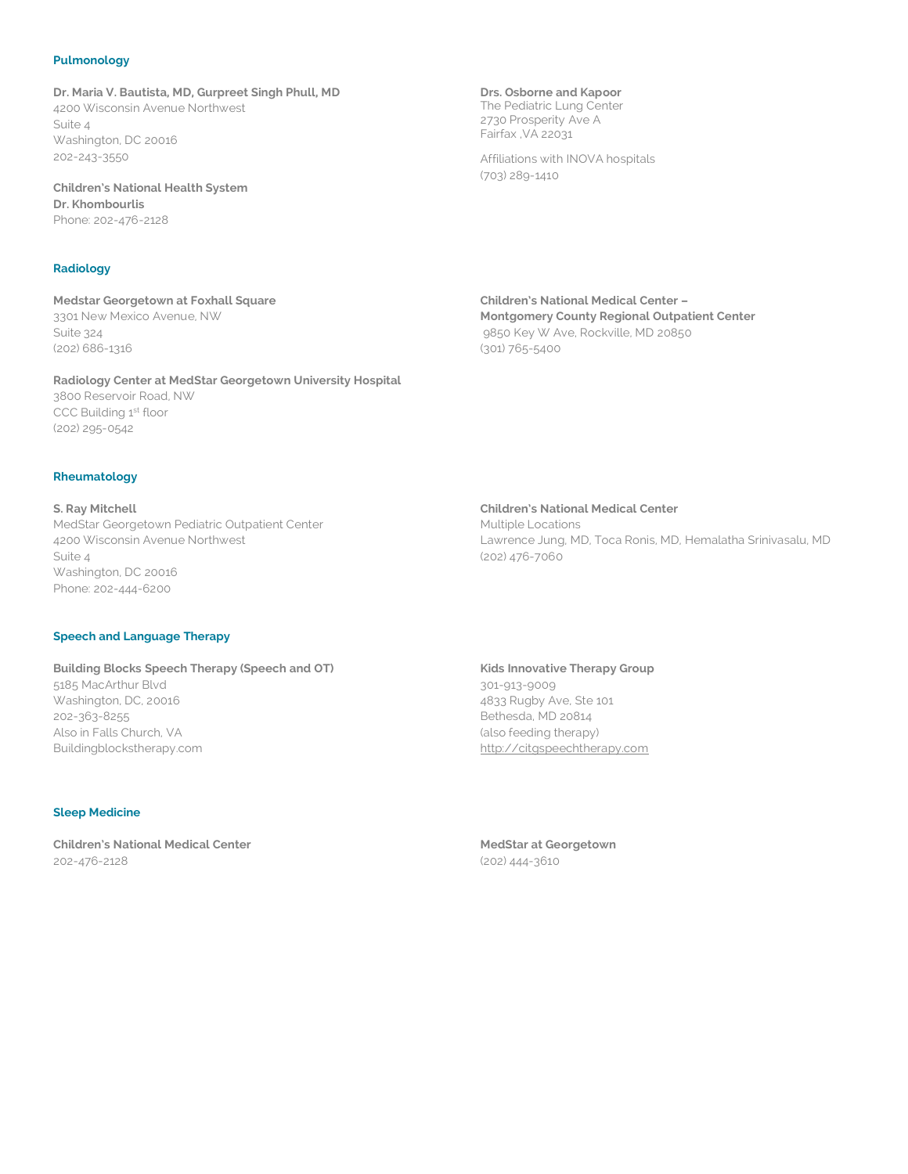### **Pulmonology**

**Dr. Maria V. Bautista, MD, Gurpreet Singh Phull, MD** 4200 Wisconsin Avenue Northwest Suite 4 Washington, DC 20016 202-243-3550

**Children's National Health System Dr. Khombourlis** Phone: 202-476-2128

## **Radiology**

**Medstar Georgetown at Foxhall Square** 3301 New Mexico Avenue, NW Suite 324 (202) 686-1316

**Radiology Center at MedStar Georgetown University Hospital** 3800 Reservoir Road, NW CCC Building 1st floor (202) 295-0542

#### **Rheumatology**

**S. Ray Mitchell** MedStar Georgetown Pediatric Outpatient Center 4200 Wisconsin Avenue Northwest Suite 4 Washington, DC 20016 Phone: 202-444-6200

### **Speech and Language Therapy**

**Building Blocks Speech Therapy (Speech and OT)** 5185 MacArthur Blvd Washington, DC, 20016 202-363-8255 Also in Falls Church, VA Buildingblockstherapy.com

#### **Sleep Medicine**

**Children's National Medical Center** 202-476-2128

**Drs. Osborne and Kapoor** The Pediatric Lung Center 2730 Prosperity Ave A Fairfax ,VA 22031

Affiliations with INOVA hospitals (703) 289-1410

**Children's National Medical Center – Montgomery County Regional Outpatient Center** 9850 Key W Ave, Rockville, MD 20850 (301) 765-5400

**Children's National Medical Center**

Multiple Locations Lawrence Jung, MD, Toca Ronis, MD, Hemalatha Srinivasalu, MD (202) 476-7060

#### **Kids Innovative Therapy Group**

301-913-9009 4833 Rugby Ave, Ste 101 Bethesda, MD 20814 (also feeding therapy) http://citgspeechtherapy.com

**MedStar at Georgetown** (202) 444-3610